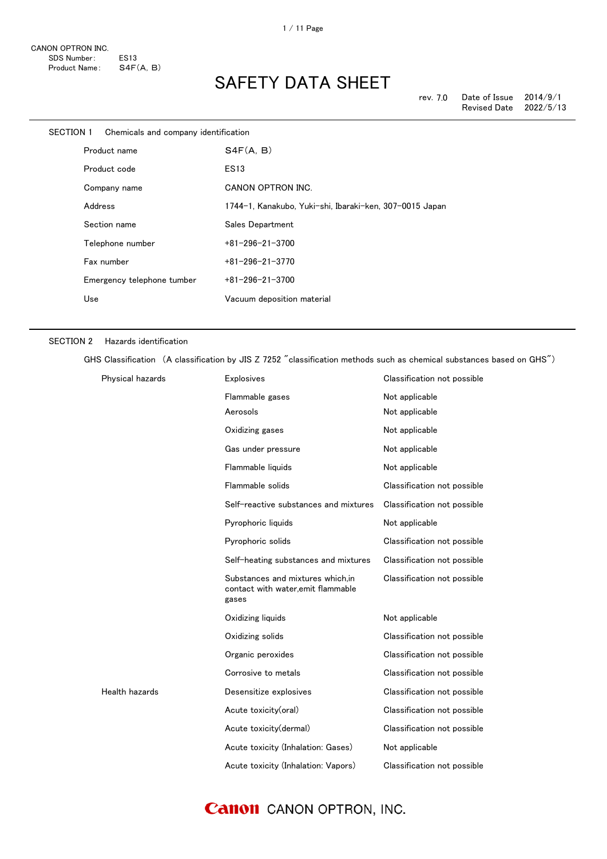| SECTION 1 Chemicals and company identification |                                                         |
|------------------------------------------------|---------------------------------------------------------|
| Product name                                   | S4F(A, B)                                               |
| Product code                                   | <b>ES13</b>                                             |
| Company name                                   | CANON OPTRON INC.                                       |
| Address                                        | 1744-1, Kanakubo, Yuki-shi, Ibaraki-ken, 307-0015 Japan |
| Section name                                   | Sales Department                                        |
| Telephone number                               | $+81 - 296 - 21 - 3700$                                 |
| Fax number                                     | $+81 - 296 - 21 - 3770$                                 |
| Emergency telephone tumber                     | $+81 - 296 - 21 - 3700$                                 |
| Use                                            | Vacuum deposition material                              |
|                                                |                                                         |

#### SECTION 2 Hazards identification

GHS Classification (A classification by JIS Z 7252 "classification methods such as chemical substances based on GHS")

| Physical hazards | <b>Explosives</b>                                                                | Classification not possible |
|------------------|----------------------------------------------------------------------------------|-----------------------------|
|                  | Flammable gases                                                                  | Not applicable              |
|                  | Aerosols                                                                         | Not applicable              |
|                  | Oxidizing gases                                                                  | Not applicable              |
|                  | Gas under pressure                                                               | Not applicable              |
|                  | Flammable liquids                                                                | Not applicable              |
|                  | Flammable solids                                                                 | Classification not possible |
|                  | Self-reactive substances and mixtures                                            | Classification not possible |
|                  | Pyrophoric liquids                                                               | Not applicable              |
|                  | Pyrophoric solids                                                                | Classification not possible |
|                  | Self-heating substances and mixtures                                             | Classification not possible |
|                  | Substances and mixtures which, in<br>contact with water, emit flammable<br>gases | Classification not possible |
|                  | Oxidizing liquids                                                                | Not applicable              |
|                  | Oxidizing solids                                                                 | Classification not possible |
|                  | Organic peroxides                                                                | Classification not possible |
|                  | Corrosive to metals                                                              | Classification not possible |
| Health hazards   | Desensitize explosives                                                           | Classification not possible |
|                  | Acute toxicity(oral)                                                             | Classification not possible |
|                  | Acute toxicity(dermal)                                                           | Classification not possible |
|                  | Acute toxicity (Inhalation: Gases)                                               | Not applicable              |
|                  | Acute toxicity (Inhalation: Vapors)                                              | Classification not possible |

### **Canon** CANON OPTRON, INC.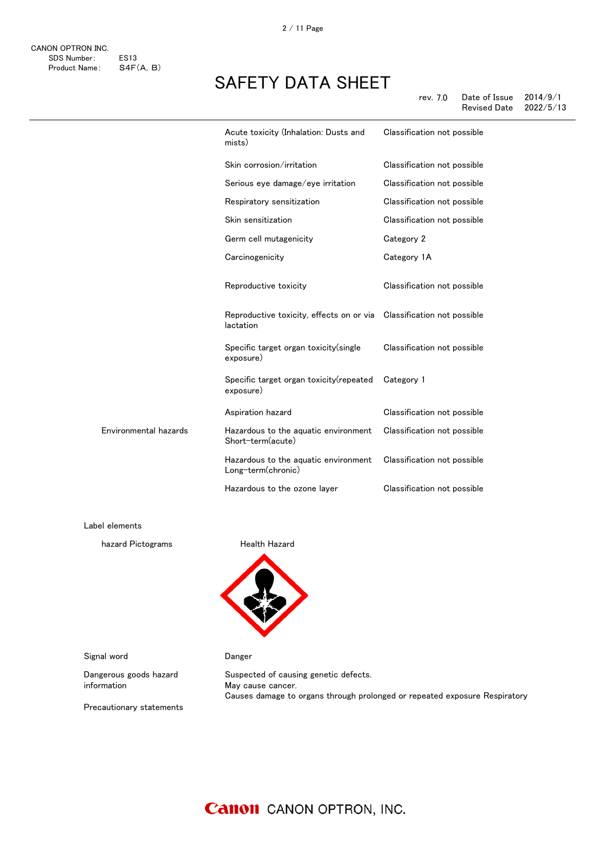2 / 11 Page

| mists)                                                     | Classification not possible           |
|------------------------------------------------------------|---------------------------------------|
| Skin corrosion/irritation                                  | Classification not possible           |
| Serious eye damage/eye irritation                          | Classification not possible           |
| Respiratory sensitization                                  | Classification not possible           |
| Skin sensitization                                         | Classification not possible           |
| Germ cell mutagenicity                                     | Category 2                            |
| Carcinogenicity                                            | Category 1A                           |
| Reproductive toxicity                                      | Classification not possible           |
| Reproductive toxicity, effects on or via<br>lactation      | Classification not possible           |
| Specific target organ toxicity (single<br>exposure)        | Classification not possible           |
| Specific target organ toxicity (repeated<br>exposure)      | Category 1                            |
| Aspiration hazard                                          | Classification not possible           |
| Hazardous to the aquatic environment<br>Short-term(acute)  | Classification not possible           |
| Hazardous to the aquatic environment<br>Long-term(chronic) | Classification not possible           |
| Hazardous to the ozone layer                               | Classification not possible           |
|                                                            | Acute toxicity (Inhalation: Dusts and |

Label elements

hazard Pictograms **Health Hazard** 



Signal word **Danger** 

Dangerous goods hazard information

Suspected of causing genetic defects. May cause cancer. Causes damage to organs through prolonged or repeated exposure Respiratory

Precautionary statements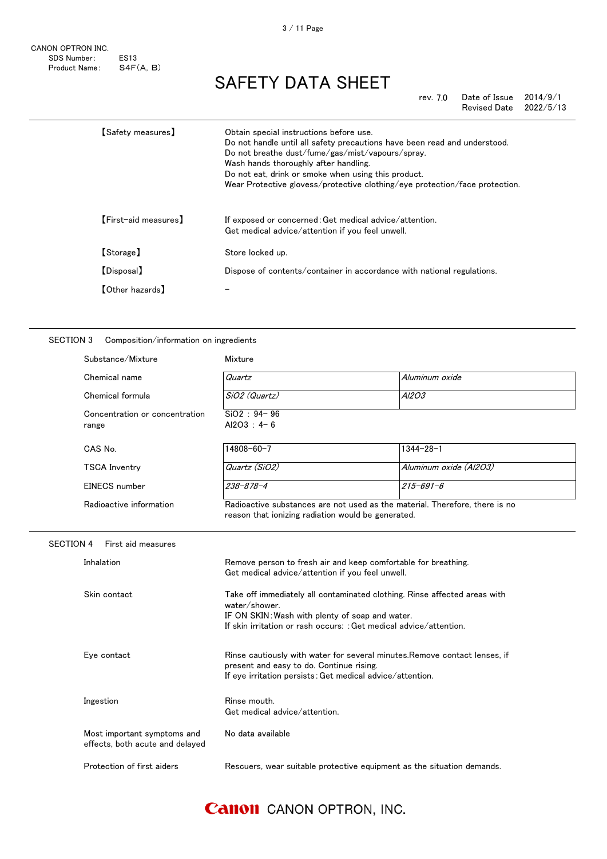CANON OPTRON INC. SDS Number: ES13<br>Product Name: S4F(A, B) Product Name:

# SAFETY DATA SHEET

rev. 7.0 Date of Issue 2014/9/1 Revised Date 2022/5/13

| <b>[Safety measures]</b> | Obtain special instructions before use.<br>Do not handle until all safety precautions have been read and understood.<br>Do not breathe dust/fume/gas/mist/vapours/spray.<br>Wash hands thoroughly after handling.<br>Do not eat, drink or smoke when using this product.<br>Wear Protective glovess/protective clothing/eye protection/face protection. |
|--------------------------|---------------------------------------------------------------------------------------------------------------------------------------------------------------------------------------------------------------------------------------------------------------------------------------------------------------------------------------------------------|
| [First-aid measures]     | If exposed or concerned: Get medical advice/attention.<br>Get medical advice/attention if you feel unwell.                                                                                                                                                                                                                                              |
| [Storage]                | Store locked up.                                                                                                                                                                                                                                                                                                                                        |
| <b>[Disposal]</b>        | Dispose of contents/container in accordance with national regulations.                                                                                                                                                                                                                                                                                  |
| <b>[Other hazards]</b>   |                                                                                                                                                                                                                                                                                                                                                         |

#### SECTION 3 Composition/information on ingredients

| Substance/Mixture                                              | Mixture                                                                                                                                                                                                             |                        |
|----------------------------------------------------------------|---------------------------------------------------------------------------------------------------------------------------------------------------------------------------------------------------------------------|------------------------|
| Chemical name                                                  | Quartz                                                                                                                                                                                                              | Aluminum oxide         |
| Chemical formula                                               | SiO2 (Quartz)                                                                                                                                                                                                       | A12O3                  |
| Concentration or concentration<br>range                        | $SiO2 : 94 - 96$<br>Al2O3 : $4 - 6$                                                                                                                                                                                 |                        |
| CAS No.                                                        | 14808-60-7                                                                                                                                                                                                          | $1344 - 28 - 1$        |
| <b>TSCA Inventry</b>                                           | Quartz (SiO2)                                                                                                                                                                                                       | Aluminum oxide (Al2O3) |
| EINECS number                                                  | $238 - 878 - 4$                                                                                                                                                                                                     | $215 - 691 - 6$        |
| Radioactive information                                        | Radioactive substances are not used as the material. Therefore, there is no<br>reason that ionizing radiation would be generated.                                                                                   |                        |
| <b>SECTION 4</b><br>First aid measures                         |                                                                                                                                                                                                                     |                        |
| Inhalation                                                     | Remove person to fresh air and keep comfortable for breathing.<br>Get medical advice/attention if you feel unwell.                                                                                                  |                        |
| Skin contact                                                   | Take off immediately all contaminated clothing. Rinse affected areas with<br>water/shower.<br>IF ON SKIN: Wash with plenty of soap and water.<br>If skin irritation or rash occurs: : Get medical advice/attention. |                        |
| Eye contact                                                    | Rinse cautiously with water for several minutes. Remove contact lenses, if<br>present and easy to do. Continue rising.<br>If eye irritation persists: Get medical advice/attention.                                 |                        |
| Ingestion                                                      | Rinse mouth.<br>Get medical advice/attention.                                                                                                                                                                       |                        |
| Most important symptoms and<br>effects, both acute and delayed | No data available                                                                                                                                                                                                   |                        |
| Protection of first aiders                                     | Rescuers, wear suitable protective equipment as the situation demands.                                                                                                                                              |                        |

### **Canon** CANON OPTRON, INC.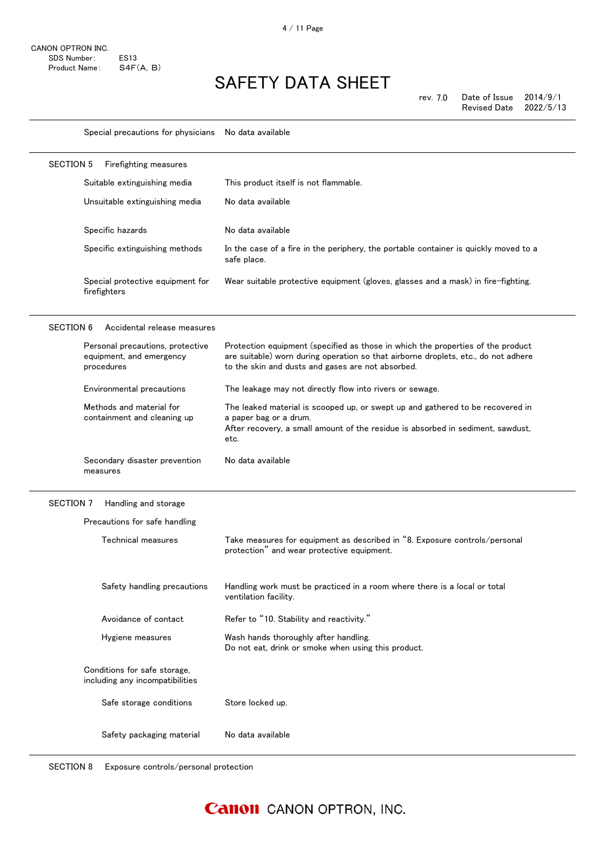Special precautions for physicians No data available

|                                                                            | Firefighting measures          |                                                                                                                                                                                                                            |
|----------------------------------------------------------------------------|--------------------------------|----------------------------------------------------------------------------------------------------------------------------------------------------------------------------------------------------------------------------|
| Suitable extinguishing media                                               |                                | This product itself is not flammable.                                                                                                                                                                                      |
| Unsuitable extinguishing media                                             | No data available              |                                                                                                                                                                                                                            |
| Specific hazards                                                           | No data available              |                                                                                                                                                                                                                            |
| Specific extinguishing methods                                             | safe place.                    | In the case of a fire in the periphery, the portable container is quickly moved to a                                                                                                                                       |
| Special protective equipment for<br>firefighters                           |                                | Wear suitable protective equipment (gloves, glasses and a mask) in fire-fighting.                                                                                                                                          |
| Accidental release measures<br><b>SECTION 6</b>                            |                                |                                                                                                                                                                                                                            |
| Personal precautions, protective<br>equipment, and emergency<br>procedures |                                | Protection equipment (specified as those in which the properties of the product<br>are suitable) worn during operation so that airborne droplets, etc., do not adhere<br>to the skin and dusts and gases are not absorbed. |
| Environmental precautions                                                  |                                | The leakage may not directly flow into rivers or sewage.                                                                                                                                                                   |
| Methods and material for<br>containment and cleaning up                    | a paper bag or a drum.<br>etc. | The leaked material is scooped up, or swept up and gathered to be recovered in<br>After recovery, a small amount of the residue is absorbed in sediment, sawdust,                                                          |
| Secondary disaster prevention<br>measures                                  | No data available              |                                                                                                                                                                                                                            |
|                                                                            |                                |                                                                                                                                                                                                                            |
| Handling and storage                                                       |                                |                                                                                                                                                                                                                            |
| SECTION 7<br>Precautions for safe handling                                 |                                |                                                                                                                                                                                                                            |
| Technical measures                                                         |                                | Take measures for equipment as described in "8. Exposure controls/personal<br>protection" and wear protective equipment.                                                                                                   |
| Safety handling precautions                                                | ventilation facility.          | Handling work must be practiced in a room where there is a local or total                                                                                                                                                  |
| Avoidance of contact                                                       |                                | Refer to "10. Stability and reactivity."                                                                                                                                                                                   |
| Hygiene measures                                                           |                                | Wash hands thoroughly after handling.<br>Do not eat, drink or smoke when using this product.                                                                                                                               |
| Conditions for safe storage.<br>including any incompatibilities            |                                |                                                                                                                                                                                                                            |

Safety packaging material No data available

SECTION 8 Exposure controls/personal protection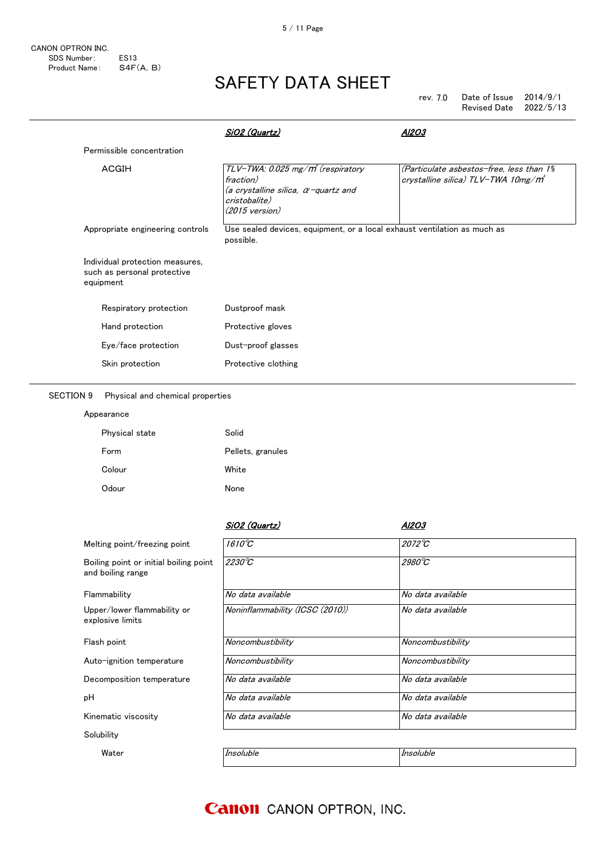| rev. 7.0 | Date of Issue       | 2014/9/1  |
|----------|---------------------|-----------|
|          | <b>Revised Date</b> | 2022/5/13 |

|           |                                                                | SiO2 (Quartz)                                                                                                                                  | AI2O3                                                                                       |
|-----------|----------------------------------------------------------------|------------------------------------------------------------------------------------------------------------------------------------------------|---------------------------------------------------------------------------------------------|
|           | Permissible concentration                                      |                                                                                                                                                |                                                                                             |
| ACGIH     |                                                                | TLV-TWA: 0.025 mg/m <sup>3</sup> (respiratory<br>fraction)<br>(a crystalline silica, α-quartz and<br>cristobalite)<br>$(2015 \text{ version})$ | (Particulate asbestos-free, less than 1%<br>crystalline silica) TLV-TWA 10mg/m <sup>3</sup> |
|           | Appropriate engineering controls                               | Use sealed devices, equipment, or a local exhaust ventilation as much as<br>possible.                                                          |                                                                                             |
| equipment | Individual protection measures,<br>such as personal protective |                                                                                                                                                |                                                                                             |
|           | Respiratory protection                                         | Dustproof mask                                                                                                                                 |                                                                                             |
|           | Hand protection                                                | Protective gloves                                                                                                                              |                                                                                             |
|           | Eye/face protection                                            | Dust-proof glasses                                                                                                                             |                                                                                             |
|           | Skin protection                                                | Protective clothing                                                                                                                            |                                                                                             |

#### SECTION 9 Physical and chemical properties

| Appearance     |                   |
|----------------|-------------------|
| Physical state | Solid             |
| Form           | Pellets, granules |
| Colour         | White             |
| Odour          | <b>None</b>       |

|                                                             | SiO2 (Quartz)                   | Al2O3             |
|-------------------------------------------------------------|---------------------------------|-------------------|
| Melting point/freezing point                                | $1610^{\circ}C$                 | $2072^{\circ}C$   |
| Boiling point or initial boiling point<br>and boiling range | $2230^{\circ}C$                 | 2980°C            |
| Flammability                                                | No data available               | No data available |
| Upper/lower flammability or<br>explosive limits             | Noninflammability (ICSC (2010)) | No data available |
| Flash point                                                 | Noncombustibility               | Noncombustibility |
| Auto-ignition temperature                                   | Noncombustibility               | Noncombustibility |
| Decomposition temperature                                   | No data available               | No data available |
| рH                                                          | No data available               | No data available |
| Kinematic viscosity                                         | No data available               | No data available |
| Solubility                                                  |                                 |                   |
| Water                                                       | Insoluble                       | Insoluble         |

 $\overline{a}$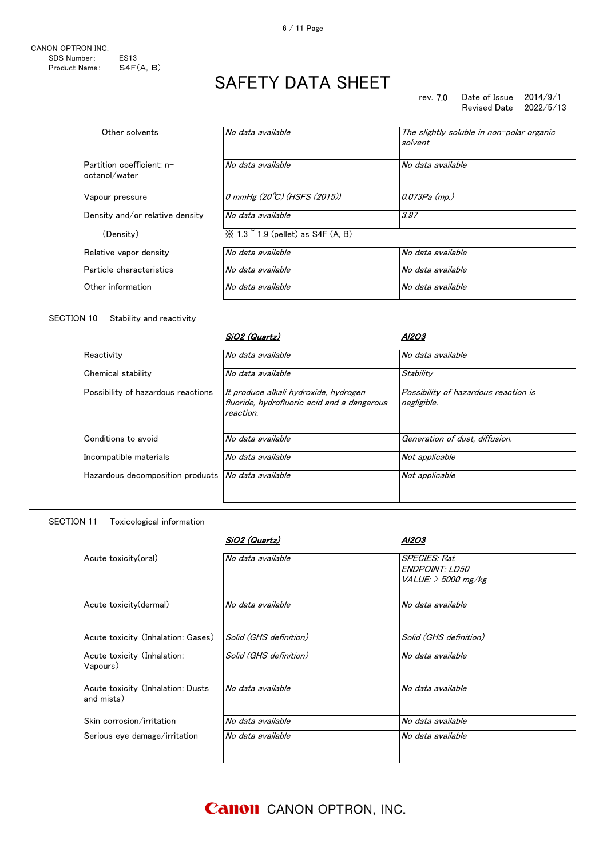rev. 7.0 Date of Issue 2014/9/1 Revised Date 2022/5/13

| Other solvents                             | No data available                                      | The slightly soluble in non-polar organic<br>solvent |
|--------------------------------------------|--------------------------------------------------------|------------------------------------------------------|
| Partition coefficient: n-<br>octanol/water | No data available                                      | No data available                                    |
| Vapour pressure                            | 0 mmHg $(20^{\circ}\text{C})$ (HSFS $(2015)$ )         | 0.073Pa (mp.)                                        |
| Density and/or relative density            | No data available                                      | 3.97                                                 |
| (Density)                                  | $\frac{1}{2}$ 1.3 $\degree$ 1.9 (pellet) as S4F (A, B) |                                                      |
| Relative vapor density                     | No data available                                      | No data available                                    |
| Particle characteristics                   | No data available                                      | No data available                                    |
| Other information                          | No data available                                      | No data available                                    |

#### SECTION 10 Stability and reactivity

|                                    | SiO2 (Quartz)                                                                                     | Al2O3                                               |
|------------------------------------|---------------------------------------------------------------------------------------------------|-----------------------------------------------------|
| Reactivity                         | No data available                                                                                 | No data available                                   |
| Chemical stability                 | No data available                                                                                 | Stability                                           |
| Possibility of hazardous reactions | It produce alkali hydroxide, hydrogen<br>fluoride, hydrofluoric acid and a dangerous<br>reaction. | Possibility of hazardous reaction is<br>negligible. |
| Conditions to avoid                | No data available                                                                                 | Generation of dust, diffusion.                      |
| Incompatible materials             | No data available                                                                                 | Not applicable                                      |
| Hazardous decomposition products   | No data available                                                                                 | Not applicable                                      |

#### SECTION 11 Toxicological information

| SiO2 (Quartz)          | Al2O3                  |                                           |
|------------------------|------------------------|-------------------------------------------|
| No data available      | <b>SPECIES: Rat</b>    |                                           |
|                        |                        |                                           |
|                        |                        |                                           |
| No data available      | No data available      |                                           |
|                        |                        |                                           |
| Solid (GHS definition) | Solid (GHS definition) |                                           |
| Solid (GHS definition) | No data available      |                                           |
|                        |                        |                                           |
| No data available      | No data available      |                                           |
|                        |                        |                                           |
| No data available      | No data available      |                                           |
| No data available      | No data available      |                                           |
|                        |                        |                                           |
|                        |                        | ENDPOINT: LD50<br>$VALUE:$ $>$ 5000 mg/kg |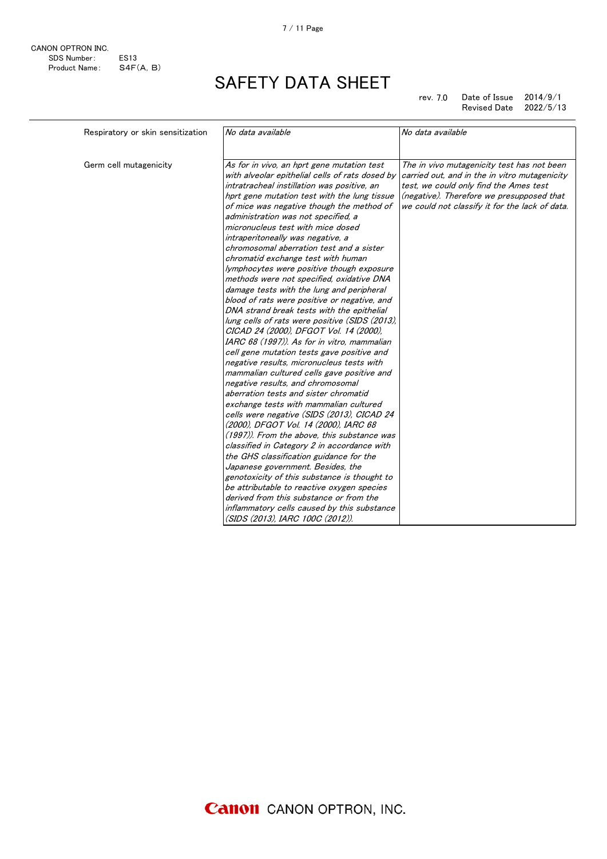7.0 rev. Date of Issue 2014/9/1 Revised Date 2022/5/13

| Respiratory or skin sensitization | No data available                                                                                                                                                                                                                                                                                                                                                                                                                                                                                                                                                                                                                                                                                                                                                                                                                                                                                                                                                                                                                                                                                                                                                                                                                                                                                                                                                                                                                                                | No data available                                                                                                                                                                                                                    |
|-----------------------------------|------------------------------------------------------------------------------------------------------------------------------------------------------------------------------------------------------------------------------------------------------------------------------------------------------------------------------------------------------------------------------------------------------------------------------------------------------------------------------------------------------------------------------------------------------------------------------------------------------------------------------------------------------------------------------------------------------------------------------------------------------------------------------------------------------------------------------------------------------------------------------------------------------------------------------------------------------------------------------------------------------------------------------------------------------------------------------------------------------------------------------------------------------------------------------------------------------------------------------------------------------------------------------------------------------------------------------------------------------------------------------------------------------------------------------------------------------------------|--------------------------------------------------------------------------------------------------------------------------------------------------------------------------------------------------------------------------------------|
|                                   |                                                                                                                                                                                                                                                                                                                                                                                                                                                                                                                                                                                                                                                                                                                                                                                                                                                                                                                                                                                                                                                                                                                                                                                                                                                                                                                                                                                                                                                                  |                                                                                                                                                                                                                                      |
| Germ cell mutagenicity            | As for in vivo, an hprt gene mutation test<br>with alveolar epithelial cells of rats dosed by<br>intratracheal instillation was positive, an<br>hprt gene mutation test with the lung tissue<br>of mice was negative though the method of<br>administration was not specified, a<br>micronucleus test with mice dosed<br>intraperitoneally was negative, a<br>chromosomal aberration test and a sister<br>chromatid exchange test with human<br>lymphocytes were positive though exposure<br>methods were not specified, oxidative DNA<br>damage tests with the lung and peripheral<br>blood of rats were positive or negative, and<br>DNA strand break tests with the epithelial<br>lung cells of rats were positive (SIDS (2013).<br>CICAD 24 (2000), DFGOT Vol. 14 (2000),<br>IARC 68 (1997)). As for in vitro, mammalian<br>cell gene mutation tests gave positive and<br>negative results, micronucleus tests with<br>mammalian cultured cells gave positive and<br>negative results, and chromosomal<br>aberration tests and sister chromatid<br>exchange tests with mammalian cultured<br>cells were negative (SIDS (2013), CICAD 24<br>(2000), DFGOT Vol. 14 (2000), IARC 68<br>(1997)). From the above, this substance was<br>classified in Category 2 in accordance with<br>the GHS classification guidance for the<br>Japanese government. Besides, the<br>genotoxicity of this substance is thought to<br>be attributable to reactive oxygen species | The in vivo mutagenicity test has not been<br>carried out, and in the in vitro mutagenicity<br>test, we could only find the Ames test<br>(negative). Therefore we presupposed that<br>we could not classify it for the lack of data. |
|                                   |                                                                                                                                                                                                                                                                                                                                                                                                                                                                                                                                                                                                                                                                                                                                                                                                                                                                                                                                                                                                                                                                                                                                                                                                                                                                                                                                                                                                                                                                  |                                                                                                                                                                                                                                      |
|                                   | derived from this substance or from the<br>inflammatory cells caused by this substance<br>(SIDS (2013), IARC 100C (2012)).                                                                                                                                                                                                                                                                                                                                                                                                                                                                                                                                                                                                                                                                                                                                                                                                                                                                                                                                                                                                                                                                                                                                                                                                                                                                                                                                       |                                                                                                                                                                                                                                      |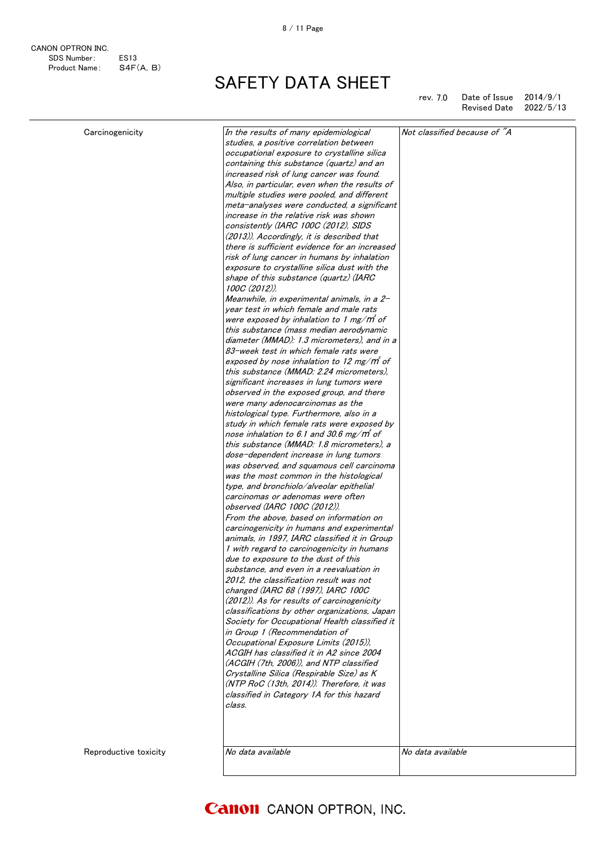CANON OPTRON INC. SDS Number: ES13<br>Product Name: S4F(A, B) Product Name:

SAFETY DATA SHEET

rev. 7.0 Date of Issue  $2014/9/1$ Revised Date 2022/5/13

| Carcinogenicity       | In the results of many epidemiological<br>studies, a positive correlation between      | Not classified because of "A |
|-----------------------|----------------------------------------------------------------------------------------|------------------------------|
|                       | occupational exposure to crystalline silica                                            |                              |
|                       | containing this substance (quartz) and an                                              |                              |
|                       |                                                                                        |                              |
|                       | increased risk of lung cancer was found.                                               |                              |
|                       | Also, in particular, even when the results of                                          |                              |
|                       | multiple studies were pooled, and different                                            |                              |
|                       | meta-analyses were conducted, a significant                                            |                              |
|                       | increase in the relative risk was shown                                                |                              |
|                       | consistently (IARC 100C (2012), SIDS                                                   |                              |
|                       | (2013)). Accordingly, it is described that                                             |                              |
|                       | there is sufficient evidence for an increased                                          |                              |
|                       | risk of lung cancer in humans by inhalation                                            |                              |
|                       | exposure to crystalline silica dust with the                                           |                              |
|                       | shape of this substance (quartz) (IARC                                                 |                              |
|                       | 100C (2012)).                                                                          |                              |
|                       | Meanwhile, in experimental animals, in a 2-<br>vear test in which female and male rats |                              |
|                       | were exposed by inhalation to 1 mg/m of                                                |                              |
|                       |                                                                                        |                              |
|                       | this substance (mass median aerodynamic                                                |                              |
|                       | diameter (MMAD): 1.3 micrometers), and in a                                            |                              |
|                       | 83-week test in which female rats were                                                 |                              |
|                       | exposed by nose inhalation to 12 mg/m of                                               |                              |
|                       | this substance (MMAD: 2.24 micrometers).                                               |                              |
|                       | significant increases in lung tumors were                                              |                              |
|                       | observed in the exposed group, and there                                               |                              |
|                       | were many adenocarcinomas as the                                                       |                              |
|                       | histological type. Furthermore, also in a                                              |                              |
|                       | study in which female rats were exposed by                                             |                              |
|                       | nose inhalation to 6.1 and 30.6 mg/m of                                                |                              |
|                       | this substance (MMAD: 1.8 micrometers), a                                              |                              |
|                       | dose-dependent increase in lung tumors                                                 |                              |
|                       | was observed, and squamous cell carcinoma                                              |                              |
|                       | was the most common in the histological                                                |                              |
|                       | type, and bronchiolo/alveolar epithelial                                               |                              |
|                       | carcinomas or adenomas were often                                                      |                              |
|                       | observed (IARC 100C (2012)).                                                           |                              |
|                       | From the above, based on information on                                                |                              |
|                       | carcinogenicity in humans and experimental                                             |                              |
|                       | animals, in 1997, IARC classified it in Group                                          |                              |
|                       |                                                                                        |                              |
|                       | 1 with regard to carcinogenicity in humans                                             |                              |
|                       | due to exposure to the dust of this                                                    |                              |
|                       | substance, and even in a reevaluation in                                               |                              |
|                       | 2012, the classification result was not                                                |                              |
|                       | changed (IARC 68 (1997), IARC 100C                                                     |                              |
|                       | (2012)). As for results of carcinogenicity                                             |                              |
|                       | classifications by other organizations, Japan                                          |                              |
|                       | Society for Occupational Health classified it                                          |                              |
|                       | in Group 1 (Recommendation of                                                          |                              |
|                       | Occupational Exposure Limits (2015)).                                                  |                              |
|                       | ACGIH has classified it in A2 since 2004                                               |                              |
|                       | (ACGIH (7th, 2006)), and NTP classified                                                |                              |
|                       | Crystalline Silica (Respirable Size) as K                                              |                              |
|                       | (NTP RoC (13th, 2014)). Therefore, it was                                              |                              |
|                       | classified in Category 1A for this hazard                                              |                              |
|                       | class.                                                                                 |                              |
|                       |                                                                                        |                              |
|                       |                                                                                        |                              |
|                       |                                                                                        |                              |
|                       |                                                                                        |                              |
| Reproductive toxicity | No data available                                                                      | No data available            |
|                       |                                                                                        |                              |
|                       |                                                                                        |                              |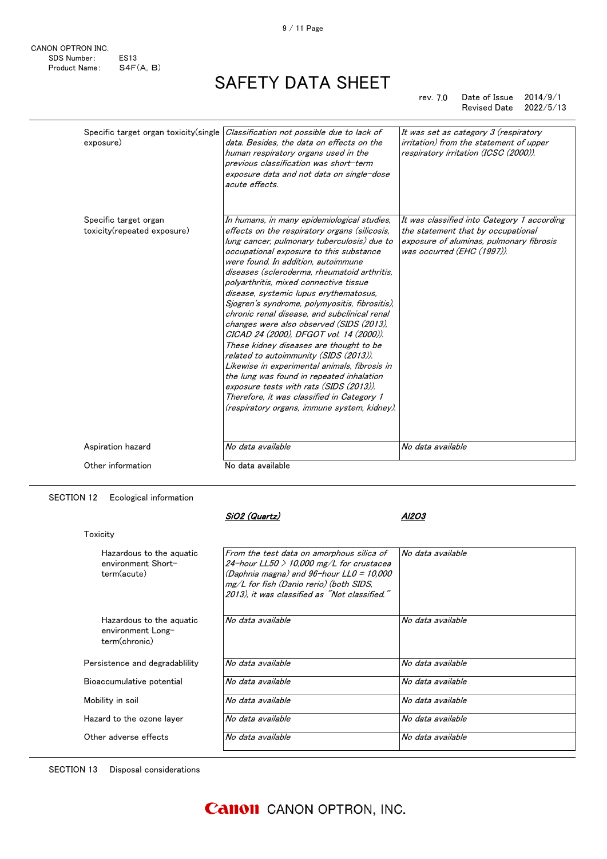rev. 7.0 Date of Issue 2014/9/1 Revised Date 2022/5/13

| Specific target organ toxicity (single<br>exposure)  | Classification not possible due to lack of<br>data. Besides, the data on effects on the<br>human respiratory organs used in the<br>previous classification was short-term<br>exposure data and not data on single-dose<br>acute effects.                                                                                                                                                                                                                                                                                                                                                                                                                                                                                                                                                                                                                                               | It was set as category 3 (respiratory<br>irritation) from the statement of upper<br>respiratory irritation (ICSC (2000)).                                   |
|------------------------------------------------------|----------------------------------------------------------------------------------------------------------------------------------------------------------------------------------------------------------------------------------------------------------------------------------------------------------------------------------------------------------------------------------------------------------------------------------------------------------------------------------------------------------------------------------------------------------------------------------------------------------------------------------------------------------------------------------------------------------------------------------------------------------------------------------------------------------------------------------------------------------------------------------------|-------------------------------------------------------------------------------------------------------------------------------------------------------------|
| Specific target organ<br>toxicity(repeated exposure) | In humans, in many epidemiological studies,<br>effects on the respiratory organs (silicosis,<br>lung cancer, pulmonary tuberculosis) due to<br>occupational exposure to this substance<br>were found. In addition, autoimmune<br>diseases (scleroderma, rheumatoid arthritis,<br>polvarthritis, mixed connective tissue<br>disease, systemic lupus erythematosus,<br>Sjogren's syndrome, polymyositis, fibrositis),<br>chronic renal disease, and subclinical renal<br>changes were also observed (SIDS (2013).<br>CICAD 24 (2000), DFGOT vol. 14 (2000)).<br>These kidney diseases are thought to be<br>related to autoimmunity (SIDS (2013)).<br>Likewise in experimental animals, fibrosis in<br>the lung was found in repeated inhalation<br>exposure tests with rats (SIDS (2013)).<br>Therefore, it was classified in Category 1<br>(respiratory organs, immune system, kidney). | It was classified into Category 1 according<br>the statement that by occupational<br>exposure of aluminas, pulmonary fibrosis<br>was occurred (EHC (1997)). |
| Aspiration hazard                                    | No data available                                                                                                                                                                                                                                                                                                                                                                                                                                                                                                                                                                                                                                                                                                                                                                                                                                                                      | No data available                                                                                                                                           |
| Other information                                    | No data available                                                                                                                                                                                                                                                                                                                                                                                                                                                                                                                                                                                                                                                                                                                                                                                                                                                                      |                                                                                                                                                             |

#### SECTION 12 Ecological information

**Toxicity** 

SiO2 (Quartz) Al2O3

| Hazardous to the aguatic<br>environment Short-<br>term(acute)  | From the test data on amorphous silica of<br>24-hour LL50 $>$ 10,000 mg/L for crustacea<br>(Daphnia magna) and $96$ -hour LL0 = 10,000<br>mg/L for fish (Danio rerio) (both SIDS,<br>2013), it was classified as "Not classified." | No data available |
|----------------------------------------------------------------|------------------------------------------------------------------------------------------------------------------------------------------------------------------------------------------------------------------------------------|-------------------|
| Hazardous to the aguatic<br>environment Long-<br>term(chronic) | No data available                                                                                                                                                                                                                  | No data available |
| Persistence and degradability                                  | No data available                                                                                                                                                                                                                  | No data available |
| Bioaccumulative potential                                      | No data available                                                                                                                                                                                                                  | No data available |
| Mobility in soil                                               | No data available                                                                                                                                                                                                                  | No data available |
| Hazard to the ozone laver                                      | No data available                                                                                                                                                                                                                  | No data available |
| Other adverse effects                                          | No data available                                                                                                                                                                                                                  | No data available |

SECTION 13 Disposal considerations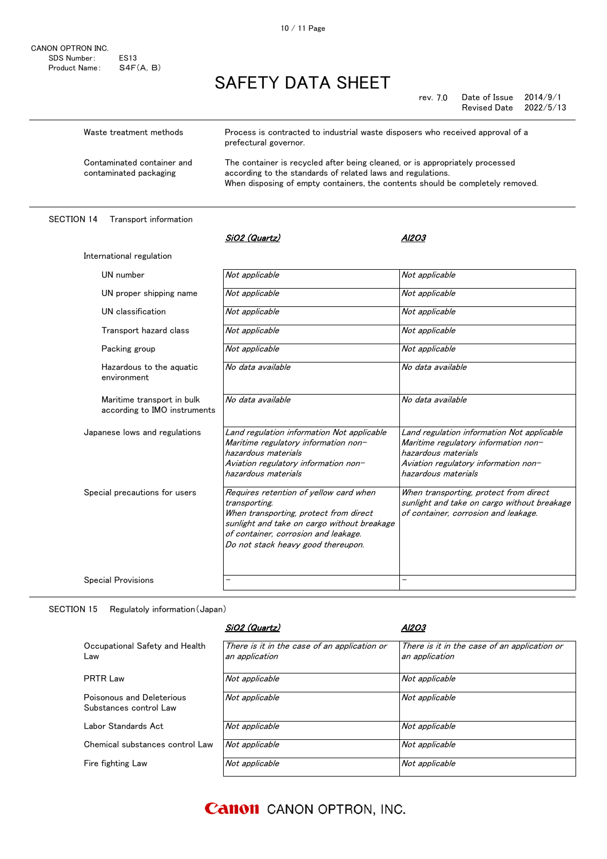| CANON OPTRON INC. |             |
|-------------------|-------------|
| SDS Number:       | <b>FS13</b> |
| Product Name:     | S4F(A, B)   |

rev. 7.0 rev. Date of Issue 2014/9/1 Revised Date 2022/5/13

| Waste treatment methods                              | Process is contracted to industrial waste disposers who received approval of a<br>prefectural governor.                                                                                                                       |
|------------------------------------------------------|-------------------------------------------------------------------------------------------------------------------------------------------------------------------------------------------------------------------------------|
| Contaminated container and<br>contaminated packaging | The container is recycled after being cleaned, or is appropriately processed<br>according to the standards of related laws and regulations.<br>When disposing of empty containers, the contents should be completely removed. |

#### SECTION 14 Transport information

| International regulation                                   |                                                                                                                                                                                                                                |                                                                                                                                                                          |
|------------------------------------------------------------|--------------------------------------------------------------------------------------------------------------------------------------------------------------------------------------------------------------------------------|--------------------------------------------------------------------------------------------------------------------------------------------------------------------------|
| UN number                                                  | Not applicable                                                                                                                                                                                                                 | Not applicable                                                                                                                                                           |
| UN proper shipping name                                    | Not applicable                                                                                                                                                                                                                 | Not applicable                                                                                                                                                           |
| UN classification                                          | Not applicable                                                                                                                                                                                                                 | Not applicable                                                                                                                                                           |
| Transport hazard class                                     | Not applicable                                                                                                                                                                                                                 | Not applicable                                                                                                                                                           |
| Packing group                                              | Not applicable                                                                                                                                                                                                                 | Not applicable                                                                                                                                                           |
| Hazardous to the aguatic<br>environment                    | No data available                                                                                                                                                                                                              | No data available                                                                                                                                                        |
| Maritime transport in bulk<br>according to IMO instruments | No data available                                                                                                                                                                                                              | No data available                                                                                                                                                        |
| Japanese lows and regulations                              | Land regulation information Not applicable<br>Maritime regulatory information non-<br>hazardous materials<br>Aviation regulatory information non-<br>hazardous materials                                                       | Land regulation information Not applicable<br>Maritime regulatory information non-<br>hazardous materials<br>Aviation regulatory information non-<br>hazardous materials |
| Special precautions for users                              | Requires retention of yellow card when<br>transporting.<br>When transporting, protect from direct<br>sunlight and take on cargo without breakage<br>of container, corrosion and leakage.<br>Do not stack heavy good thereupon. | When transporting, protect from direct<br>sunlight and take on cargo without breakage<br>of container, corrosion and leakage.                                            |
| <b>Special Provisions</b>                                  |                                                                                                                                                                                                                                | —                                                                                                                                                                        |
|                                                            |                                                                                                                                                                                                                                |                                                                                                                                                                          |

SiO2 (Quartz) Al2O3

#### SECTION 15 Regulatoly information(Japan)

|                                                     | SiO2 (Quartz)                                                  | A1203                                                          |
|-----------------------------------------------------|----------------------------------------------------------------|----------------------------------------------------------------|
| Occupational Safety and Health<br>Law               | There is it in the case of an application or<br>an application | There is it in the case of an application or<br>an application |
| PRTR Law                                            | Not applicable                                                 | Not applicable                                                 |
| Poisonous and Deleterious<br>Substances control Law | Not applicable                                                 | Not applicable                                                 |
| Labor Standards Act                                 | Not applicable                                                 | Not applicable                                                 |
| Chemical substances control Law                     | Not applicable                                                 | Not applicable                                                 |
| Fire fighting Law                                   | Not applicable                                                 | Not applicable                                                 |

### **Canon** CANON OPTRON, INC.